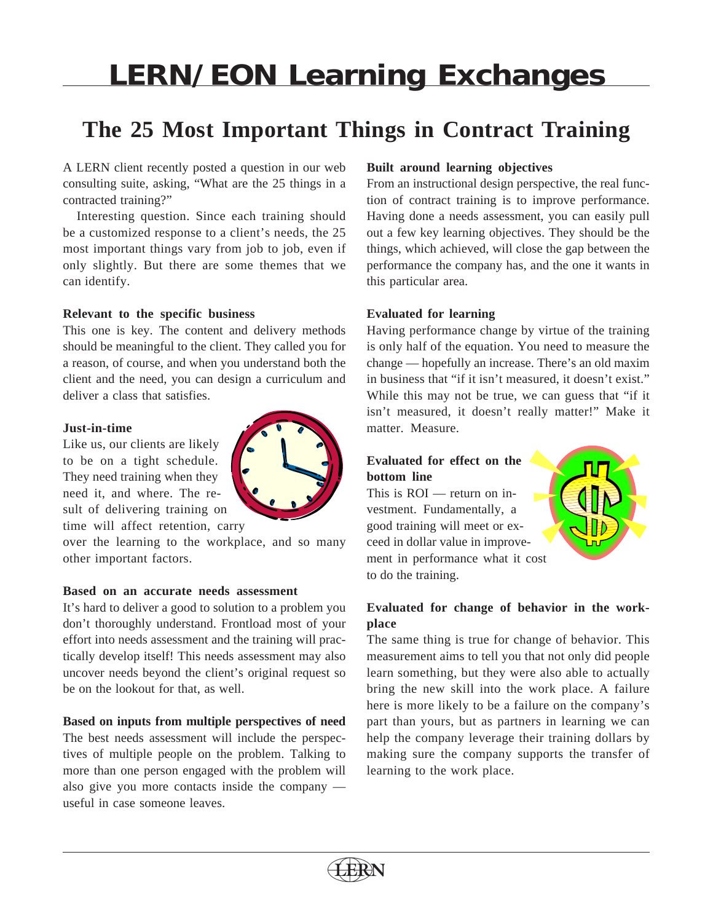# **LERN/EON Learning Exchanges**

# **The 25 Most Important Things in Contract Training**

A LERN client recently posted a question in our web consulting suite, asking, "What are the 25 things in a contracted training?"

Interesting question. Since each training should be a customized response to a client's needs, the 25 most important things vary from job to job, even if only slightly. But there are some themes that we can identify.

#### **Relevant to the specific business**

This one is key. The content and delivery methods should be meaningful to the client. They called you for a reason, of course, and when you understand both the client and the need, you can design a curriculum and deliver a class that satisfies.

#### **Just-in-time**

Like us, our clients are likely to be on a tight schedule. They need training when they need it, and where. The result of delivering training on time will affect retention, carry

over the learning to the workplace, and so many other important factors.

#### **Based on an accurate needs assessment**

It's hard to deliver a good to solution to a problem you don't thoroughly understand. Frontload most of your effort into needs assessment and the training will practically develop itself! This needs assessment may also uncover needs beyond the client's original request so be on the lookout for that, as well.

#### **Based on inputs from multiple perspectives of need**

The best needs assessment will include the perspectives of multiple people on the problem. Talking to more than one person engaged with the problem will also give you more contacts inside the company useful in case someone leaves.

### **Built around learning objectives**

From an instructional design perspective, the real function of contract training is to improve performance. Having done a needs assessment, you can easily pull out a few key learning objectives. They should be the things, which achieved, will close the gap between the performance the company has, and the one it wants in this particular area.

# **Evaluated for learning**

Having performance change by virtue of the training is only half of the equation. You need to measure the change — hopefully an increase. There's an old maxim in business that "if it isn't measured, it doesn't exist." While this may not be true, we can guess that "if it isn't measured, it doesn't really matter!" Make it matter. Measure.

# **Evaluated for effect on the bottom line**

This is ROI — return on investment. Fundamentally, a good training will meet or exceed in dollar value in improvement in performance what it cost to do the training.



The same thing is true for change of behavior. This measurement aims to tell you that not only did people learn something, but they were also able to actually bring the new skill into the work place. A failure here is more likely to be a failure on the company's part than yours, but as partners in learning we can help the company leverage their training dollars by making sure the company supports the transfer of learning to the work place.